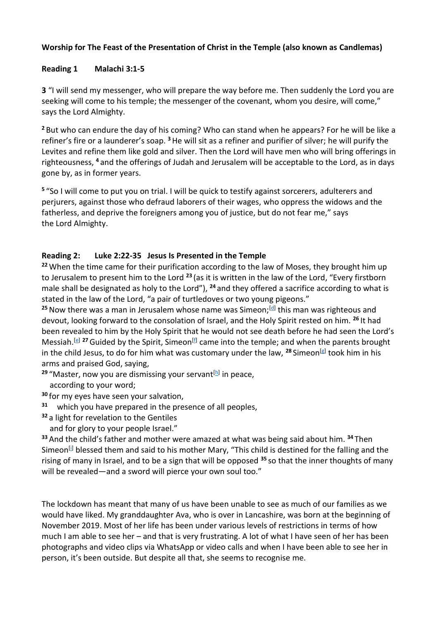## **Worship for The Feast of the Presentation of Christ in the Temple (also known as Candlemas)**

## **Reading 1 Malachi 3:1-5**

**3** "I will send my messenger, who will prepare the way before me. Then suddenly the Lord you are seeking will come to his temple; the messenger of the covenant, whom you desire, will come," says the Lord Almighty.

**<sup>2</sup>** But who can endure the day of his coming? Who can stand when he appears? For he will be like a refiner's fire or a launderer's soap. **<sup>3</sup>**He will sit as a refiner and purifier of silver; he will purify the Levites and refine them like gold and silver. Then the Lord will have men who will bring offerings in righteousness, **<sup>4</sup>** and the offerings of Judah and Jerusalem will be acceptable to the Lord, as in days gone by, as in former years.

**5** "So I will come to put you on trial. I will be quick to testify against sorcerers, adulterers and perjurers, against those who defraud laborers of their wages, who oppress the widows and the fatherless, and deprive the foreigners among you of justice, but do not fear me," says the Lord Almighty.

## **Reading 2: Luke 2:22-35 Jesus Is Presented in the Temple**

**<sup>22</sup>** When the time came for their purification according to the law of Moses, they brought him up to Jerusalem to present him to the Lord **<sup>23</sup>** (as it is written in the law of the Lord, "Every firstborn male shall be designated as holy to the Lord"), **<sup>24</sup>** and they offered a sacrifice according to what is stated in the law of the Lord, "a pair of turtledoves or two young pigeons."

<sup>25</sup> Now there was a man in Jerusalem whose name was Simeon;<sup>[\[d\]](https://www.biblegateway.com/passage/?search=luke+2&version=NRSV#fen-NRSV-24991d)</sup> this man was righteous and devout, looking forward to the consolation of Israel, and the Holy Spirit rested on him. **<sup>26</sup>** It had been revealed to him by the Holy Spirit that he would not see death before he had seen the Lord's Messiah.<sup>[\[e\]](https://www.biblegateway.com/passage/?search=luke+2&version=NRSV#fen-NRSV-24992e)</sup> <sup>27</sup> Guided by the Spirit, Simeon<sup>[\[f\]](https://www.biblegateway.com/passage/?search=luke+2&version=NRSV#fen-NRSV-24993f)</sup> came into the temple; and when the parents brought in the child Jesus, to do for him what was customary under the law, **<sup>28</sup>** Simeon[\[g\]](https://www.biblegateway.com/passage/?search=luke+2&version=NRSV#fen-NRSV-24994g) took him in his arms and praised God, saying,

<sup>29</sup> "Master, now you are dismissing your servant<sup>[<u>h</u>]</sup> in peace,

according to your word;

**<sup>30</sup>** for my eyes have seen your salvation,

- **31** which you have prepared in the presence of all peoples,
- **<sup>32</sup>** a light for revelation to the Gentiles
	- and for glory to your people Israel."

**<sup>33</sup>** And the child's father and mother were amazed at what was being said about him. **<sup>34</sup>** Then Simeon<sup>[\[i\]](https://www.biblegateway.com/passage/?search=luke+2&version=NRSV#fen-NRSV-25000i)</sup> blessed them and said to his mother Mary, "This child is destined for the falling and the rising of many in Israel, and to be a sign that will be opposed **<sup>35</sup>** so that the inner thoughts of many will be revealed—and a sword will pierce your own soul too."

The lockdown has meant that many of us have been unable to see as much of our families as we would have liked. My granddaughter Ava, who is over in Lancashire, was born at the beginning of November 2019. Most of her life has been under various levels of restrictions in terms of how much I am able to see her – and that is very frustrating. A lot of what I have seen of her has been photographs and video clips via WhatsApp or video calls and when I have been able to see her in person, it's been outside. But despite all that, she seems to recognise me.